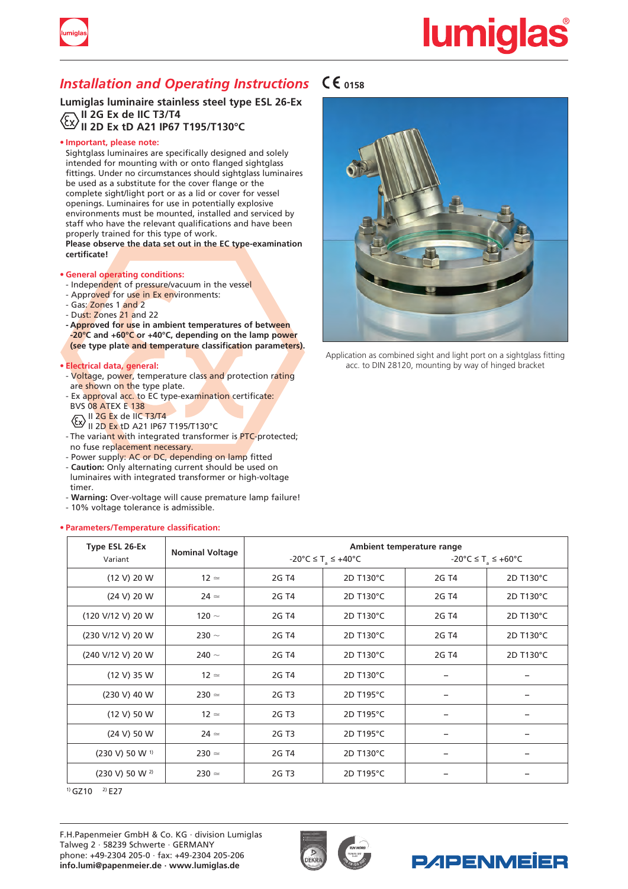



**Lumiglas luminaire stainless steel type ESL 26-Ex II 2G Ex de IIC T3/T4 II 2D Ex tD A21 IP67 T195/T130°C**

# **• Important, please note:**

Sightglass luminaires are specifically designed and solely intended for mounting with or onto flanged sightglass fittings. Under no circumstances should sightglass luminaires be used as a substitute for the cover flange or the complete sight/light port or as a lid or cover for vessel openings. Luminaires for use in potentially explosive environments must be mounted, installed and serviced by staff who have the relevant qualifications and have been properly trained for this type of work.

**Please observe the data set out in the EC type-examination certificate!**

- **• General operating conditions:**
- Independent of pressure/vacuum in the vessel - Approved for use in Ex environments:
- Gas: Zones 1 and 2
- Dust: Zones 21 and 22
- **- Approved for use in ambient temperatures of between -20°C and +60°C or +40°C, depending on the lamp power (see type plate and temperature classification parameters).**

# **• Electrical data, general:**

- Voltage, power, temperature class and protection rating are shown on the type plate.
- Ex approval acc. to EC type-examination certificate: BVS 08 ATEX E 138
- $\sqrt{\epsilon}$  II 2G Ex de IIC T3/T4
- II 2<mark>D Ex</mark> tD A21 IP67 T195/T130°C ا
- The variant with integrated transformer is **PTC-protected**; no fuse replacement necessary.
- Power supply: AC or DC, depending on lamp fitted
- **Caution:** Only alternating current should be used on luminaires with integrated transformer or high-voltage timer.
- **Warning:** Over-voltage will cause premature lamp failure!
- 10% voltage tolerance is admissible.

# **• Parameters/Temperature classification:**



Application as combined sight and light port on a sightglass fitting acc. to DIN 28120, mounting by way of hinged bracket

| Type ESL 26-Ex               | <b>Nominal Voltage</b> | Ambient temperature range                                     |           |                                |           |
|------------------------------|------------------------|---------------------------------------------------------------|-----------|--------------------------------|-----------|
| Variant                      |                        | $-20^{\circ}$ C $\leq$ T <sub>a</sub> $\leq$ +40 $^{\circ}$ C |           | -20°C ≤ T <sub>3</sub> ≤ +60°C |           |
| (12 V) 20 W                  | $12 \simeq$            | 2G T4                                                         | 2D T130°C | 2G T4                          | 2D T130°C |
| (24 V) 20 W                  | $24 \simeq$            | 2G T4                                                         | 2D T130°C | 2G T4                          | 2D T130°C |
| (120 V/12 V) 20 W            | 120 $\sim$             | 2G T4                                                         | 2D T130°C | 2G T4                          | 2D T130°C |
| (230 V/12 V) 20 W            | 230 $\sim$             | 2G T4                                                         | 2D T130°C | 2G T4                          | 2D T130°C |
| (240 V/12 V) 20 W            | 240 $\sim$             | 2G T4                                                         | 2D T130°C | 2G T4                          | 2D T130°C |
| (12 V) 35 W                  | $12 \simeq$            | 2G T4                                                         | 2D T130°C |                                |           |
| $(230 V)$ 40 W               | $230 \approx$          | 2G T3                                                         | 2D T195°C |                                |           |
| (12 V) 50 W                  | $12 \simeq$            | 2G T3                                                         | 2D T195°C |                                |           |
| (24 V) 50 W                  | $24 \simeq$            | 2G T3                                                         | 2D T195°C |                                |           |
| $(230 V) 50 W$ <sup>1)</sup> | $230 \approx$          | 2G T4                                                         | 2D T130°C |                                |           |
| (230 V) 50 W 2)              | $230 \approx$          | 2G T3                                                         | 2D T195°C |                                |           |

 $(1)$  GZ10  $(2)$  E27